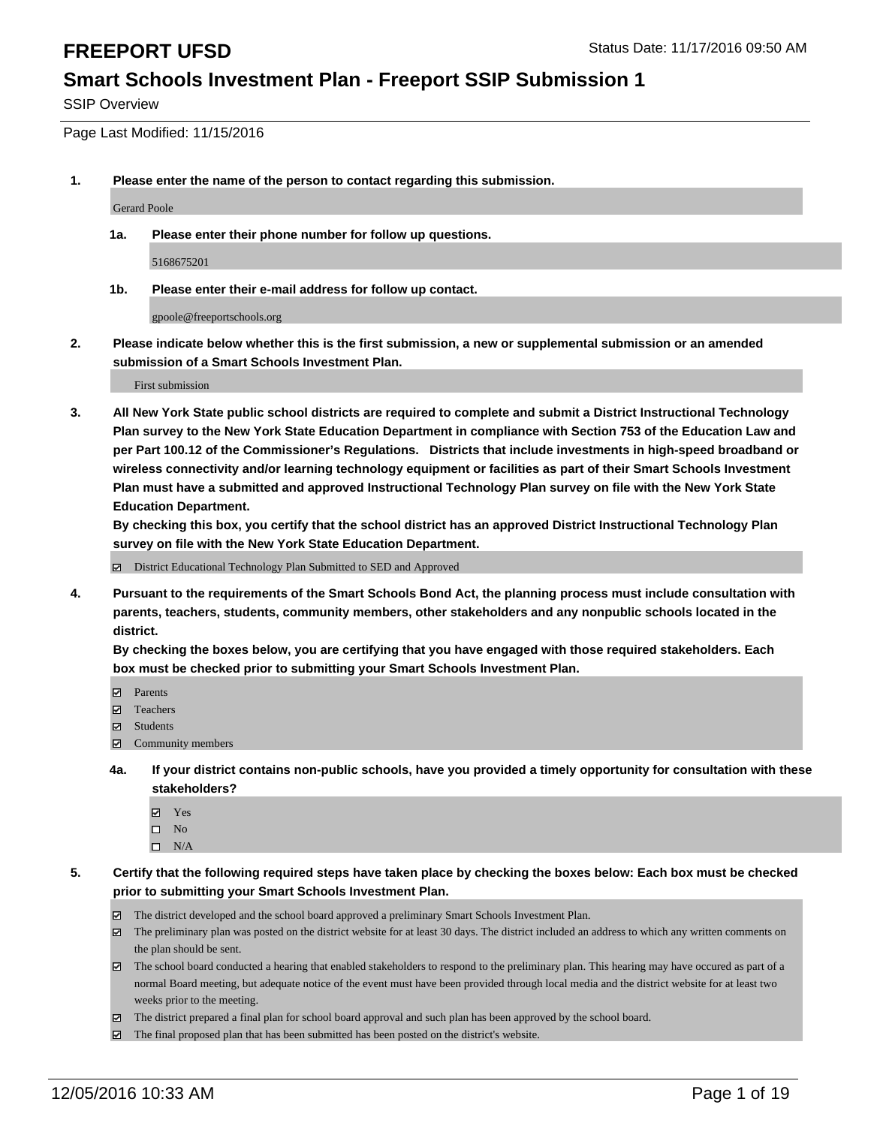SSIP Overview

Page Last Modified: 11/15/2016

**1. Please enter the name of the person to contact regarding this submission.**

Gerard Poole

**1a. Please enter their phone number for follow up questions.**

5168675201

**1b. Please enter their e-mail address for follow up contact.**

gpoole@freeportschools.org

**2. Please indicate below whether this is the first submission, a new or supplemental submission or an amended submission of a Smart Schools Investment Plan.**

First submission

**3. All New York State public school districts are required to complete and submit a District Instructional Technology Plan survey to the New York State Education Department in compliance with Section 753 of the Education Law and per Part 100.12 of the Commissioner's Regulations. Districts that include investments in high-speed broadband or wireless connectivity and/or learning technology equipment or facilities as part of their Smart Schools Investment Plan must have a submitted and approved Instructional Technology Plan survey on file with the New York State Education Department.** 

**By checking this box, you certify that the school district has an approved District Instructional Technology Plan survey on file with the New York State Education Department.**

District Educational Technology Plan Submitted to SED and Approved

**4. Pursuant to the requirements of the Smart Schools Bond Act, the planning process must include consultation with parents, teachers, students, community members, other stakeholders and any nonpublic schools located in the district.** 

**By checking the boxes below, you are certifying that you have engaged with those required stakeholders. Each box must be checked prior to submitting your Smart Schools Investment Plan.**

- **Parents**
- Teachers
- **冈** Students
- Community members
- **4a. If your district contains non-public schools, have you provided a timely opportunity for consultation with these stakeholders?**
	- Yes
	- $\square$  No
	- $\square$  N/A
- **5. Certify that the following required steps have taken place by checking the boxes below: Each box must be checked prior to submitting your Smart Schools Investment Plan.**
	- The district developed and the school board approved a preliminary Smart Schools Investment Plan.
	- The preliminary plan was posted on the district website for at least 30 days. The district included an address to which any written comments on the plan should be sent.
	- The school board conducted a hearing that enabled stakeholders to respond to the preliminary plan. This hearing may have occured as part of a normal Board meeting, but adequate notice of the event must have been provided through local media and the district website for at least two weeks prior to the meeting.
	- The district prepared a final plan for school board approval and such plan has been approved by the school board.
	- $\boxtimes$  The final proposed plan that has been submitted has been posted on the district's website.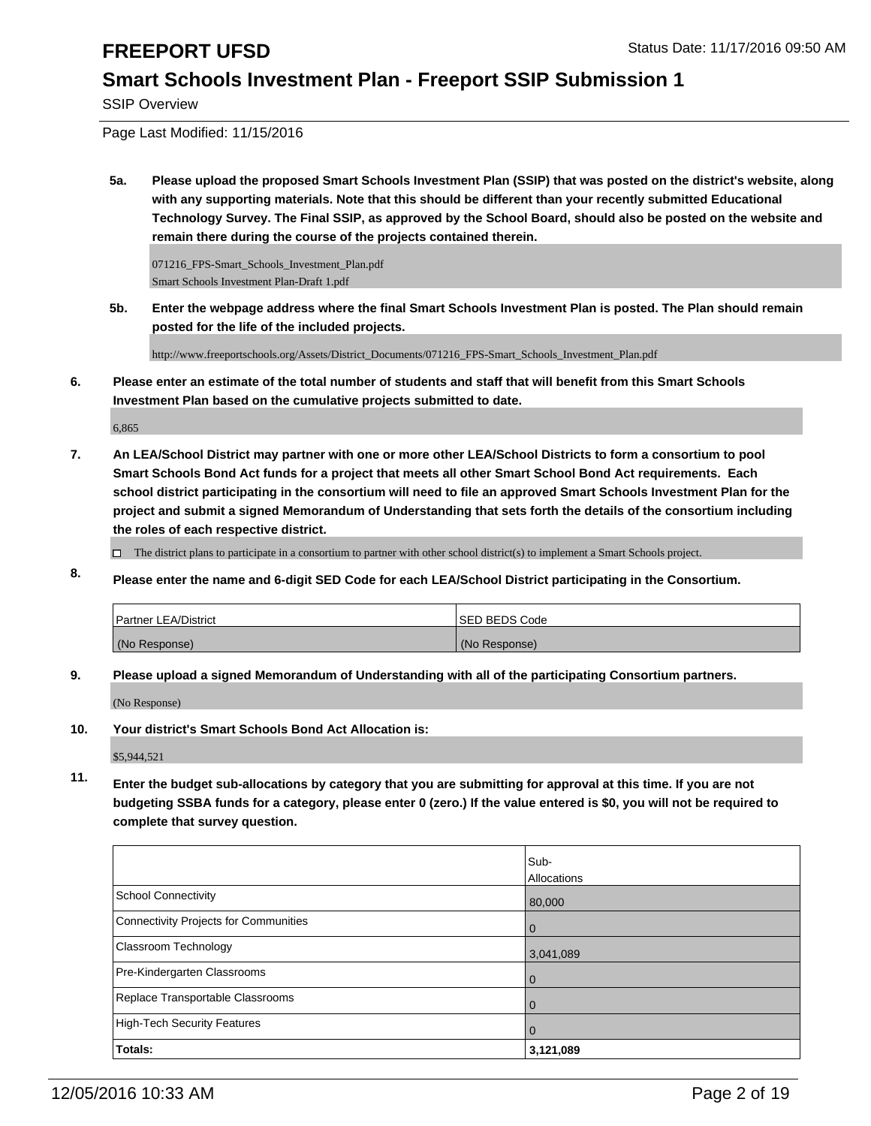SSIP Overview

Page Last Modified: 11/15/2016

**5a. Please upload the proposed Smart Schools Investment Plan (SSIP) that was posted on the district's website, along with any supporting materials. Note that this should be different than your recently submitted Educational Technology Survey. The Final SSIP, as approved by the School Board, should also be posted on the website and remain there during the course of the projects contained therein.**

071216\_FPS-Smart\_Schools\_Investment\_Plan.pdf Smart Schools Investment Plan-Draft 1.pdf

**5b. Enter the webpage address where the final Smart Schools Investment Plan is posted. The Plan should remain posted for the life of the included projects.**

http://www.freeportschools.org/Assets/District\_Documents/071216\_FPS-Smart\_Schools\_Investment\_Plan.pdf

**6. Please enter an estimate of the total number of students and staff that will benefit from this Smart Schools Investment Plan based on the cumulative projects submitted to date.**

6,865

**7. An LEA/School District may partner with one or more other LEA/School Districts to form a consortium to pool Smart Schools Bond Act funds for a project that meets all other Smart School Bond Act requirements. Each school district participating in the consortium will need to file an approved Smart Schools Investment Plan for the project and submit a signed Memorandum of Understanding that sets forth the details of the consortium including the roles of each respective district.**

 $\Box$  The district plans to participate in a consortium to partner with other school district(s) to implement a Smart Schools project.

**8. Please enter the name and 6-digit SED Code for each LEA/School District participating in the Consortium.**

| <b>Partner LEA/District</b> | ISED BEDS Code |
|-----------------------------|----------------|
| (No Response)               | (No Response)  |

**9. Please upload a signed Memorandum of Understanding with all of the participating Consortium partners.**

(No Response)

**10. Your district's Smart Schools Bond Act Allocation is:**

\$5,944,521

**11. Enter the budget sub-allocations by category that you are submitting for approval at this time. If you are not budgeting SSBA funds for a category, please enter 0 (zero.) If the value entered is \$0, you will not be required to complete that survey question.**

|                                       | Sub-           |
|---------------------------------------|----------------|
|                                       | Allocations    |
| School Connectivity                   | 80,000         |
| Connectivity Projects for Communities | l 0            |
| <b>Classroom Technology</b>           | 3,041,089      |
| Pre-Kindergarten Classrooms           | $\overline{0}$ |
| Replace Transportable Classrooms      | $\Omega$       |
| High-Tech Security Features           | $\Omega$       |
| Totals:                               | 3,121,089      |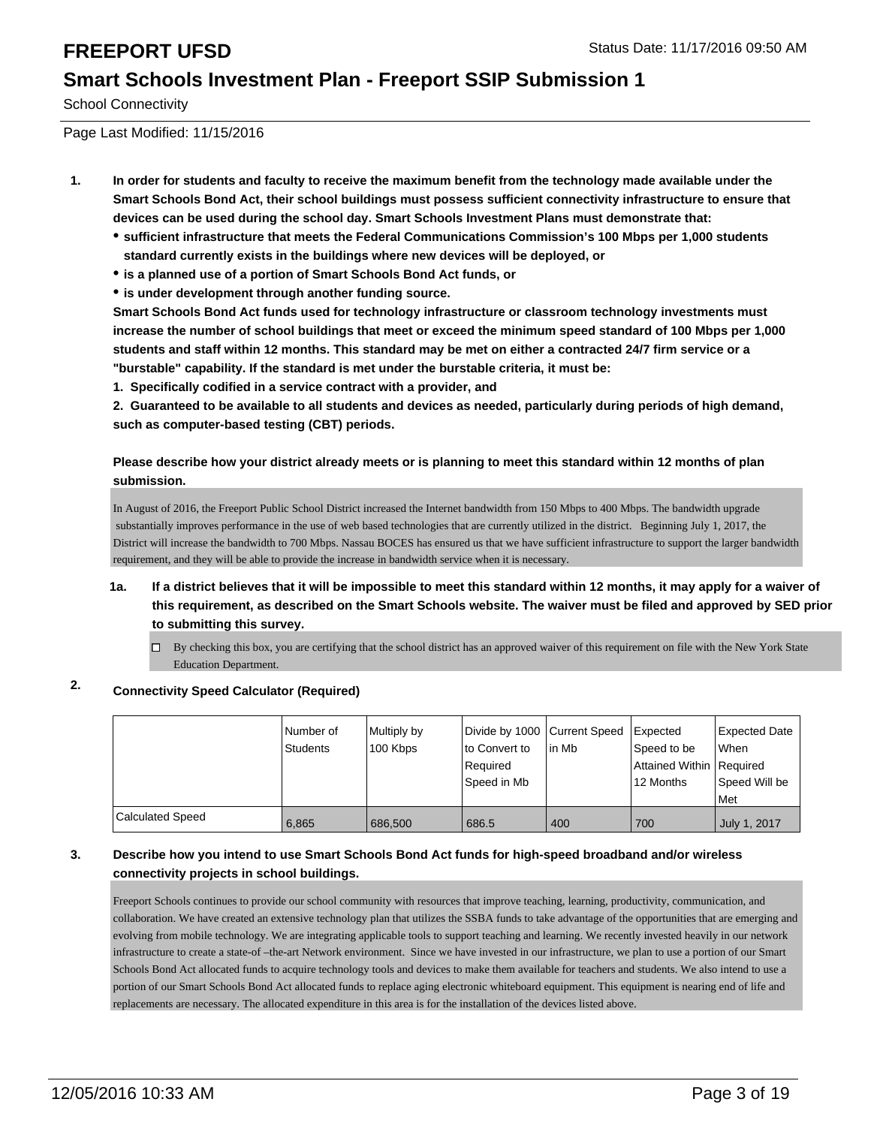School Connectivity

Page Last Modified: 11/15/2016

- **1. In order for students and faculty to receive the maximum benefit from the technology made available under the Smart Schools Bond Act, their school buildings must possess sufficient connectivity infrastructure to ensure that devices can be used during the school day. Smart Schools Investment Plans must demonstrate that:**
	- **sufficient infrastructure that meets the Federal Communications Commission's 100 Mbps per 1,000 students standard currently exists in the buildings where new devices will be deployed, or**
	- **is a planned use of a portion of Smart Schools Bond Act funds, or**
	- **is under development through another funding source.**

**Smart Schools Bond Act funds used for technology infrastructure or classroom technology investments must increase the number of school buildings that meet or exceed the minimum speed standard of 100 Mbps per 1,000 students and staff within 12 months. This standard may be met on either a contracted 24/7 firm service or a "burstable" capability. If the standard is met under the burstable criteria, it must be:**

**1. Specifically codified in a service contract with a provider, and**

**2. Guaranteed to be available to all students and devices as needed, particularly during periods of high demand, such as computer-based testing (CBT) periods.**

### **Please describe how your district already meets or is planning to meet this standard within 12 months of plan submission.**

In August of 2016, the Freeport Public School District increased the Internet bandwidth from 150 Mbps to 400 Mbps. The bandwidth upgrade substantially improves performance in the use of web based technologies that are currently utilized in the district. Beginning July 1, 2017, the District will increase the bandwidth to 700 Mbps. Nassau BOCES has ensured us that we have sufficient infrastructure to support the larger bandwidth requirement, and they will be able to provide the increase in bandwidth service when it is necessary.

### **1a. If a district believes that it will be impossible to meet this standard within 12 months, it may apply for a waiver of this requirement, as described on the Smart Schools website. The waiver must be filed and approved by SED prior to submitting this survey.**

By checking this box, you are certifying that the school district has an approved waiver of this requirement on file with the New York State Education Department.

## **2. Connectivity Speed Calculator (Required)**

|                         | Number of<br>Students | Multiply by<br>100 Kbps | Divide by 1000 Current Speed<br>to Convert to<br>Required<br>Speed in Mb | l in Mb | Expected<br>Speed to be<br>Attained Within   Required<br>12 Months | Expected Date<br>l When<br>Speed Will be<br>l Met |
|-------------------------|-----------------------|-------------------------|--------------------------------------------------------------------------|---------|--------------------------------------------------------------------|---------------------------------------------------|
| <b>Calculated Speed</b> | 6.865                 | 686,500                 | 686.5                                                                    | 400     | 700                                                                | July 1, 2017                                      |

### **3. Describe how you intend to use Smart Schools Bond Act funds for high-speed broadband and/or wireless connectivity projects in school buildings.**

Freeport Schools continues to provide our school community with resources that improve teaching, learning, productivity, communication, and collaboration. We have created an extensive technology plan that utilizes the SSBA funds to take advantage of the opportunities that are emerging and evolving from mobile technology. We are integrating applicable tools to support teaching and learning. We recently invested heavily in our network infrastructure to create a state-of –the-art Network environment. Since we have invested in our infrastructure, we plan to use a portion of our Smart Schools Bond Act allocated funds to acquire technology tools and devices to make them available for teachers and students. We also intend to use a portion of our Smart Schools Bond Act allocated funds to replace aging electronic whiteboard equipment. This equipment is nearing end of life and replacements are necessary. The allocated expenditure in this area is for the installation of the devices listed above.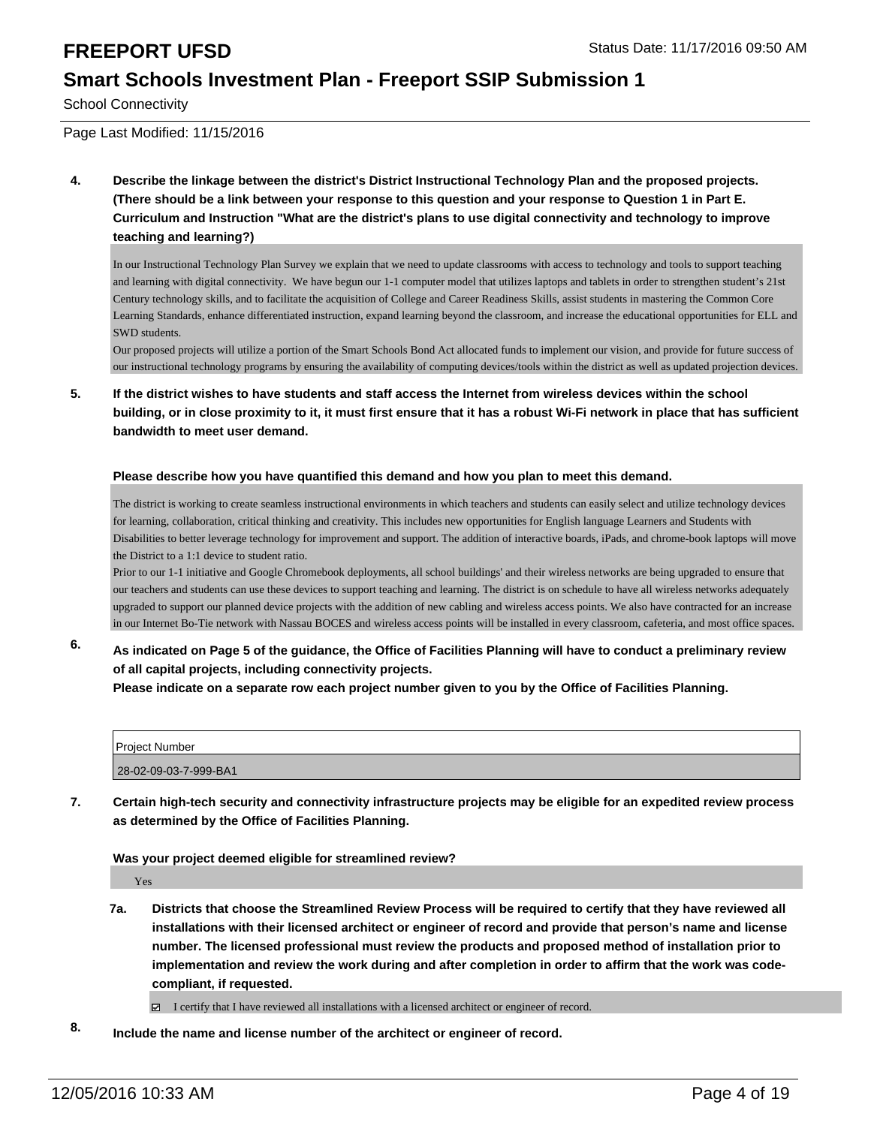School Connectivity

### Page Last Modified: 11/15/2016

**4. Describe the linkage between the district's District Instructional Technology Plan and the proposed projects. (There should be a link between your response to this question and your response to Question 1 in Part E. Curriculum and Instruction "What are the district's plans to use digital connectivity and technology to improve teaching and learning?)**

In our Instructional Technology Plan Survey we explain that we need to update classrooms with access to technology and tools to support teaching and learning with digital connectivity. We have begun our 1-1 computer model that utilizes laptops and tablets in order to strengthen student's 21st Century technology skills, and to facilitate the acquisition of College and Career Readiness Skills, assist students in mastering the Common Core Learning Standards, enhance differentiated instruction, expand learning beyond the classroom, and increase the educational opportunities for ELL and SWD students.

Our proposed projects will utilize a portion of the Smart Schools Bond Act allocated funds to implement our vision, and provide for future success of our instructional technology programs by ensuring the availability of computing devices/tools within the district as well as updated projection devices.

**5. If the district wishes to have students and staff access the Internet from wireless devices within the school building, or in close proximity to it, it must first ensure that it has a robust Wi-Fi network in place that has sufficient bandwidth to meet user demand.**

### **Please describe how you have quantified this demand and how you plan to meet this demand.**

The district is working to create seamless instructional environments in which teachers and students can easily select and utilize technology devices for learning, collaboration, critical thinking and creativity. This includes new opportunities for English language Learners and Students with Disabilities to better leverage technology for improvement and support. The addition of interactive boards, iPads, and chrome-book laptops will move the District to a 1:1 device to student ratio.

Prior to our 1-1 initiative and Google Chromebook deployments, all school buildings' and their wireless networks are being upgraded to ensure that our teachers and students can use these devices to support teaching and learning. The district is on schedule to have all wireless networks adequately upgraded to support our planned device projects with the addition of new cabling and wireless access points. We also have contracted for an increase in our Internet Bo-Tie network with Nassau BOCES and wireless access points will be installed in every classroom, cafeteria, and most office spaces.

**6. As indicated on Page 5 of the guidance, the Office of Facilities Planning will have to conduct a preliminary review of all capital projects, including connectivity projects.**

**Please indicate on a separate row each project number given to you by the Office of Facilities Planning.**

| <b>Project Number</b> |  |
|-----------------------|--|
| 28-02-09-03-7-999-BA1 |  |

**7. Certain high-tech security and connectivity infrastructure projects may be eligible for an expedited review process as determined by the Office of Facilities Planning.**

### **Was your project deemed eligible for streamlined review?**

Yes

**7a. Districts that choose the Streamlined Review Process will be required to certify that they have reviewed all installations with their licensed architect or engineer of record and provide that person's name and license number. The licensed professional must review the products and proposed method of installation prior to implementation and review the work during and after completion in order to affirm that the work was codecompliant, if requested.**

I certify that I have reviewed all installations with a licensed architect or engineer of record.

**8. Include the name and license number of the architect or engineer of record.**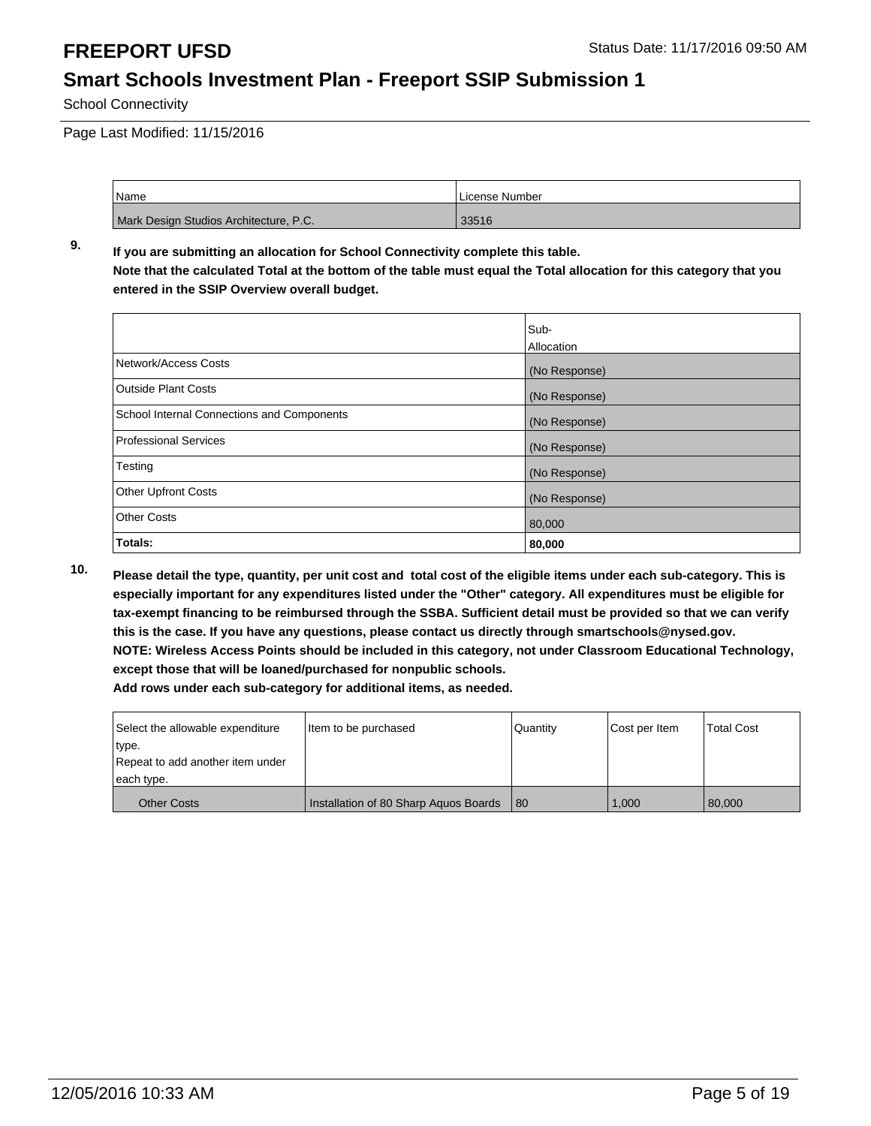School Connectivity

Page Last Modified: 11/15/2016

| <sup>1</sup> Name                      | License Number |
|----------------------------------------|----------------|
| Mark Design Studios Architecture, P.C. | 33516          |

**9. If you are submitting an allocation for School Connectivity complete this table. Note that the calculated Total at the bottom of the table must equal the Total allocation for this category that you entered in the SSIP Overview overall budget.** 

|                                            | Sub-          |
|--------------------------------------------|---------------|
|                                            | Allocation    |
| Network/Access Costs                       | (No Response) |
| <b>Outside Plant Costs</b>                 | (No Response) |
| School Internal Connections and Components | (No Response) |
| <b>Professional Services</b>               | (No Response) |
| Testing                                    | (No Response) |
| <b>Other Upfront Costs</b>                 | (No Response) |
| <b>Other Costs</b>                         | 80,000        |
| Totals:                                    | 80,000        |

**10. Please detail the type, quantity, per unit cost and total cost of the eligible items under each sub-category. This is especially important for any expenditures listed under the "Other" category. All expenditures must be eligible for tax-exempt financing to be reimbursed through the SSBA. Sufficient detail must be provided so that we can verify this is the case. If you have any questions, please contact us directly through smartschools@nysed.gov. NOTE: Wireless Access Points should be included in this category, not under Classroom Educational Technology, except those that will be loaned/purchased for nonpublic schools.**

| Select the allowable expenditure | Item to be purchased                  | Quantity | Cost per Item | <b>Total Cost</b> |
|----------------------------------|---------------------------------------|----------|---------------|-------------------|
| type.                            |                                       |          |               |                   |
| Repeat to add another item under |                                       |          |               |                   |
| each type.                       |                                       |          |               |                   |
| <b>Other Costs</b>               | Installation of 80 Sharp Aguos Boards | -80      | 1.000         | 80,000            |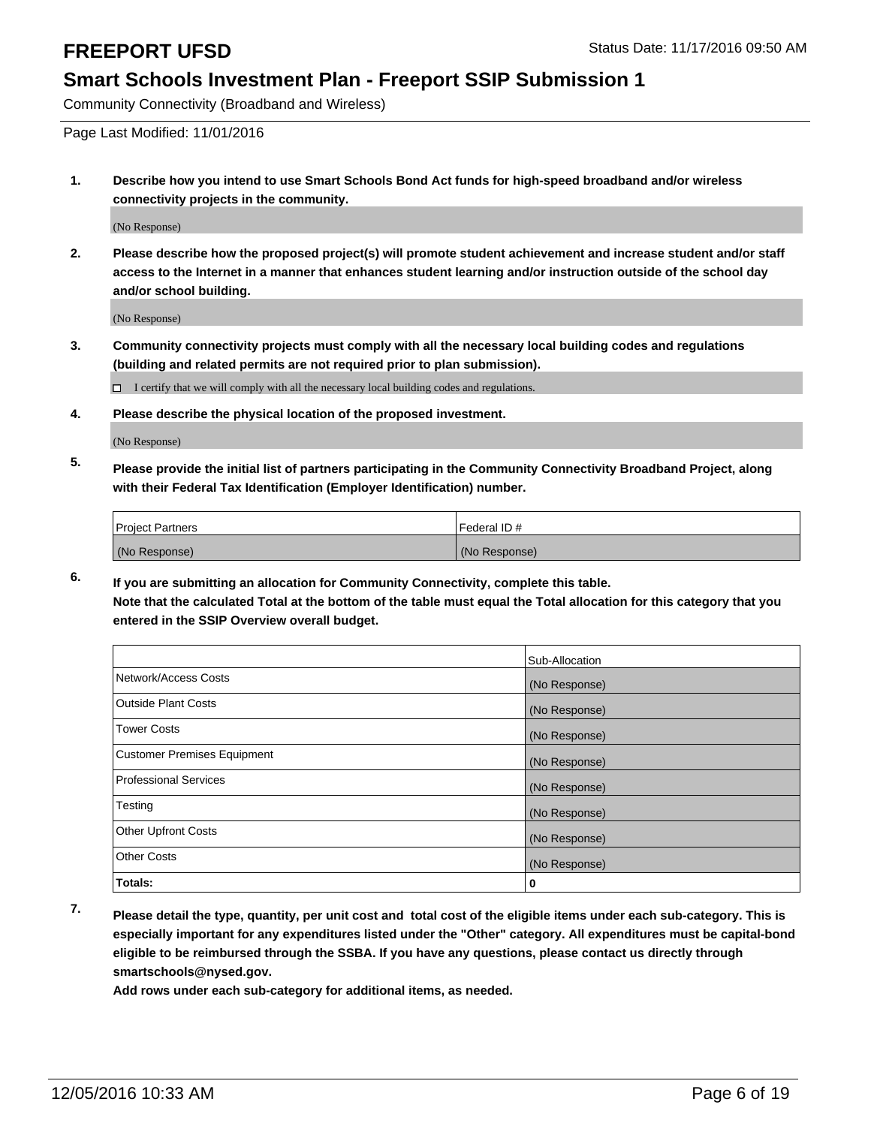Community Connectivity (Broadband and Wireless)

Page Last Modified: 11/01/2016

**1. Describe how you intend to use Smart Schools Bond Act funds for high-speed broadband and/or wireless connectivity projects in the community.**

(No Response)

**2. Please describe how the proposed project(s) will promote student achievement and increase student and/or staff access to the Internet in a manner that enhances student learning and/or instruction outside of the school day and/or school building.**

(No Response)

**3. Community connectivity projects must comply with all the necessary local building codes and regulations (building and related permits are not required prior to plan submission).**

 $\Box$  I certify that we will comply with all the necessary local building codes and regulations.

**4. Please describe the physical location of the proposed investment.**

(No Response)

**5. Please provide the initial list of partners participating in the Community Connectivity Broadband Project, along with their Federal Tax Identification (Employer Identification) number.**

| <b>Project Partners</b> | Federal ID #  |
|-------------------------|---------------|
| (No Response)           | (No Response) |

**6. If you are submitting an allocation for Community Connectivity, complete this table. Note that the calculated Total at the bottom of the table must equal the Total allocation for this category that you entered in the SSIP Overview overall budget.**

|                                    | Sub-Allocation |
|------------------------------------|----------------|
| Network/Access Costs               | (No Response)  |
| <b>Outside Plant Costs</b>         | (No Response)  |
| <b>Tower Costs</b>                 | (No Response)  |
| <b>Customer Premises Equipment</b> | (No Response)  |
| <b>Professional Services</b>       | (No Response)  |
| Testing                            | (No Response)  |
| <b>Other Upfront Costs</b>         | (No Response)  |
| <b>Other Costs</b>                 | (No Response)  |
| Totals:                            | 0              |

**7. Please detail the type, quantity, per unit cost and total cost of the eligible items under each sub-category. This is especially important for any expenditures listed under the "Other" category. All expenditures must be capital-bond eligible to be reimbursed through the SSBA. If you have any questions, please contact us directly through smartschools@nysed.gov.**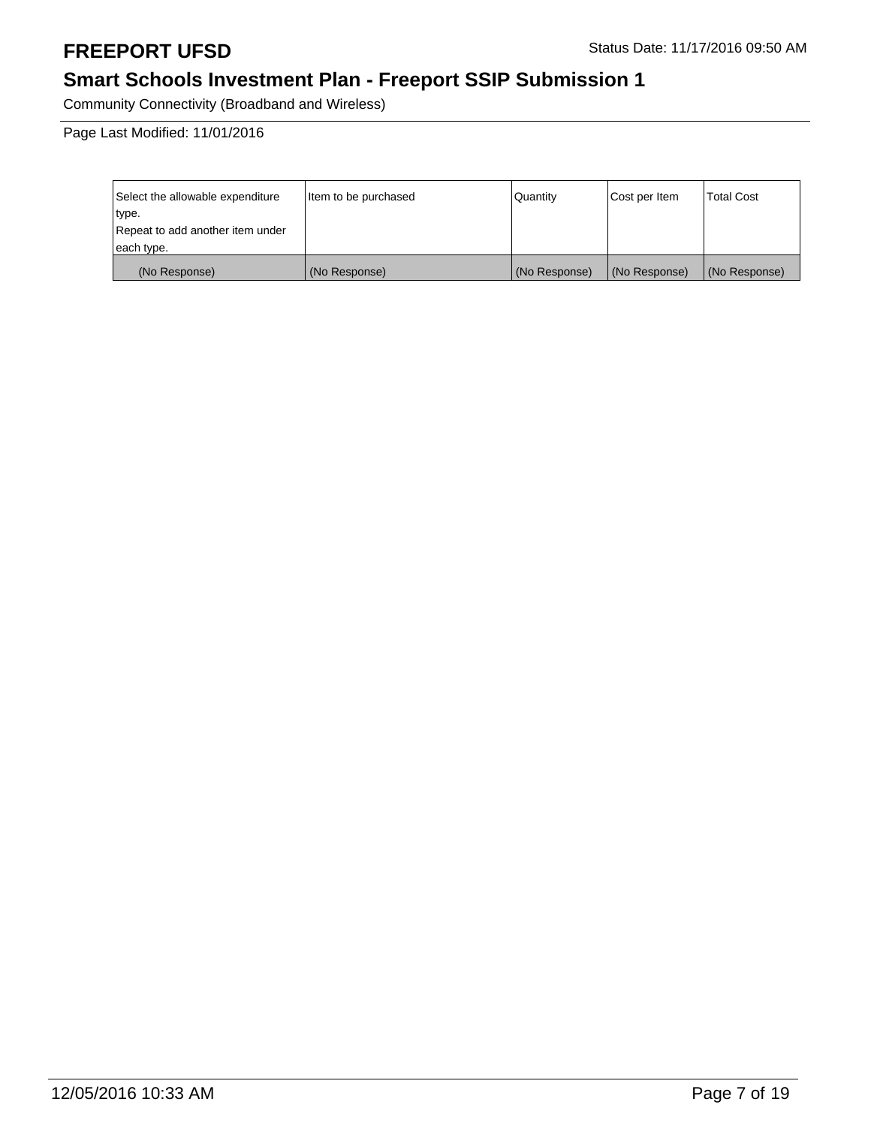# **Smart Schools Investment Plan - Freeport SSIP Submission 1**

Community Connectivity (Broadband and Wireless)

Page Last Modified: 11/01/2016

| Select the allowable expenditure | litem to be purchased | Quantity      | Cost per Item | <b>Total Cost</b> |
|----------------------------------|-----------------------|---------------|---------------|-------------------|
| type.                            |                       |               |               |                   |
| Repeat to add another item under |                       |               |               |                   |
| each type.                       |                       |               |               |                   |
| (No Response)                    | (No Response)         | (No Response) | (No Response) | (No Response)     |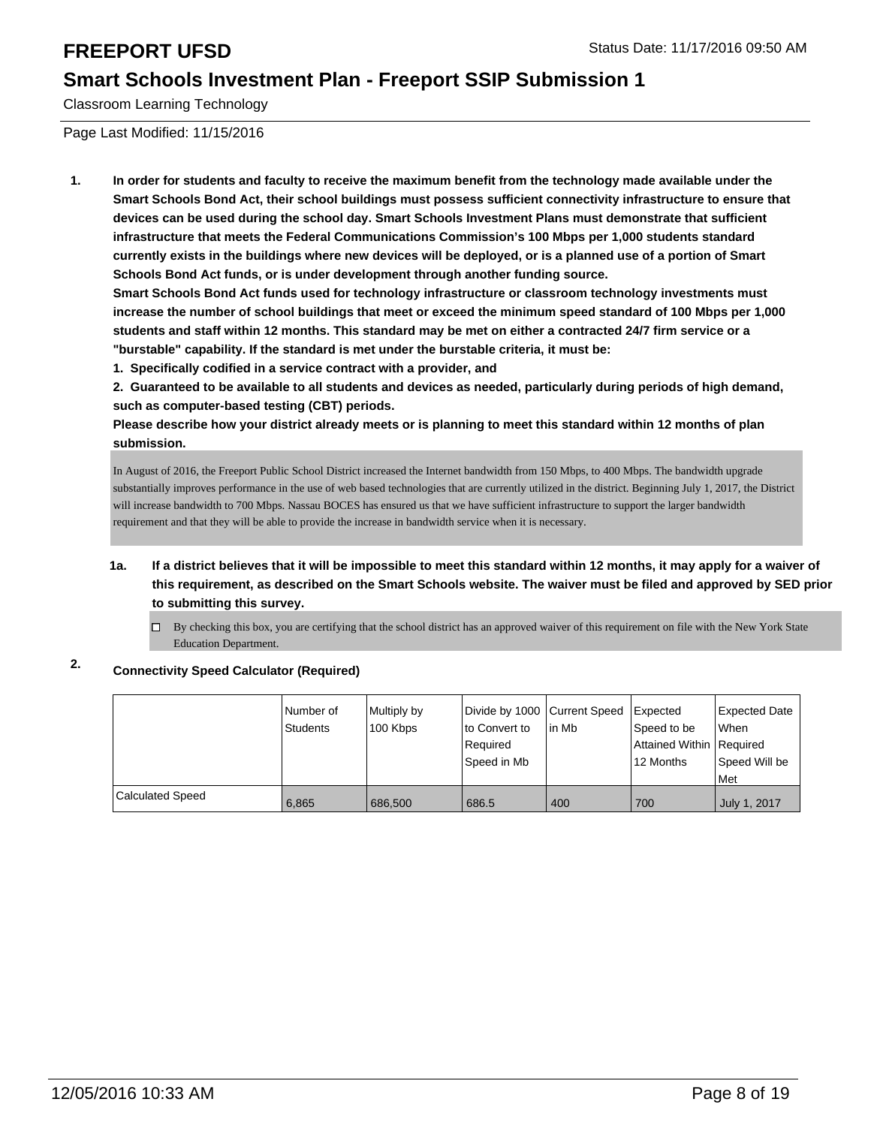Classroom Learning Technology

Page Last Modified: 11/15/2016

**1. In order for students and faculty to receive the maximum benefit from the technology made available under the Smart Schools Bond Act, their school buildings must possess sufficient connectivity infrastructure to ensure that devices can be used during the school day. Smart Schools Investment Plans must demonstrate that sufficient infrastructure that meets the Federal Communications Commission's 100 Mbps per 1,000 students standard currently exists in the buildings where new devices will be deployed, or is a planned use of a portion of Smart Schools Bond Act funds, or is under development through another funding source.**

**Smart Schools Bond Act funds used for technology infrastructure or classroom technology investments must increase the number of school buildings that meet or exceed the minimum speed standard of 100 Mbps per 1,000 students and staff within 12 months. This standard may be met on either a contracted 24/7 firm service or a "burstable" capability. If the standard is met under the burstable criteria, it must be:**

**1. Specifically codified in a service contract with a provider, and**

**2. Guaranteed to be available to all students and devices as needed, particularly during periods of high demand, such as computer-based testing (CBT) periods.**

**Please describe how your district already meets or is planning to meet this standard within 12 months of plan submission.**

In August of 2016, the Freeport Public School District increased the Internet bandwidth from 150 Mbps, to 400 Mbps. The bandwidth upgrade substantially improves performance in the use of web based technologies that are currently utilized in the district. Beginning July 1, 2017, the District will increase bandwidth to 700 Mbps. Nassau BOCES has ensured us that we have sufficient infrastructure to support the larger bandwidth requirement and that they will be able to provide the increase in bandwidth service when it is necessary.

- **1a. If a district believes that it will be impossible to meet this standard within 12 months, it may apply for a waiver of this requirement, as described on the Smart Schools website. The waiver must be filed and approved by SED prior to submitting this survey.**
	- $\Box$ By checking this box, you are certifying that the school district has an approved waiver of this requirement on file with the New York State Education Department.

### **2. Connectivity Speed Calculator (Required)**

|                         | Number of<br>Students | Multiply by<br>100 Kbps | Divide by 1000 Current Speed<br>to Convert to<br>Reauired<br>Speed in Mb | lin Mb | <b>I</b> Expected<br>Speed to be<br>Attained Within   Required<br>12 Months | Expected Date<br>l When<br>Speed Will be<br>Met |
|-------------------------|-----------------------|-------------------------|--------------------------------------------------------------------------|--------|-----------------------------------------------------------------------------|-------------------------------------------------|
| <b>Calculated Speed</b> | 6,865                 | 686,500                 | 686.5                                                                    | 400    | 700                                                                         | July 1, 2017                                    |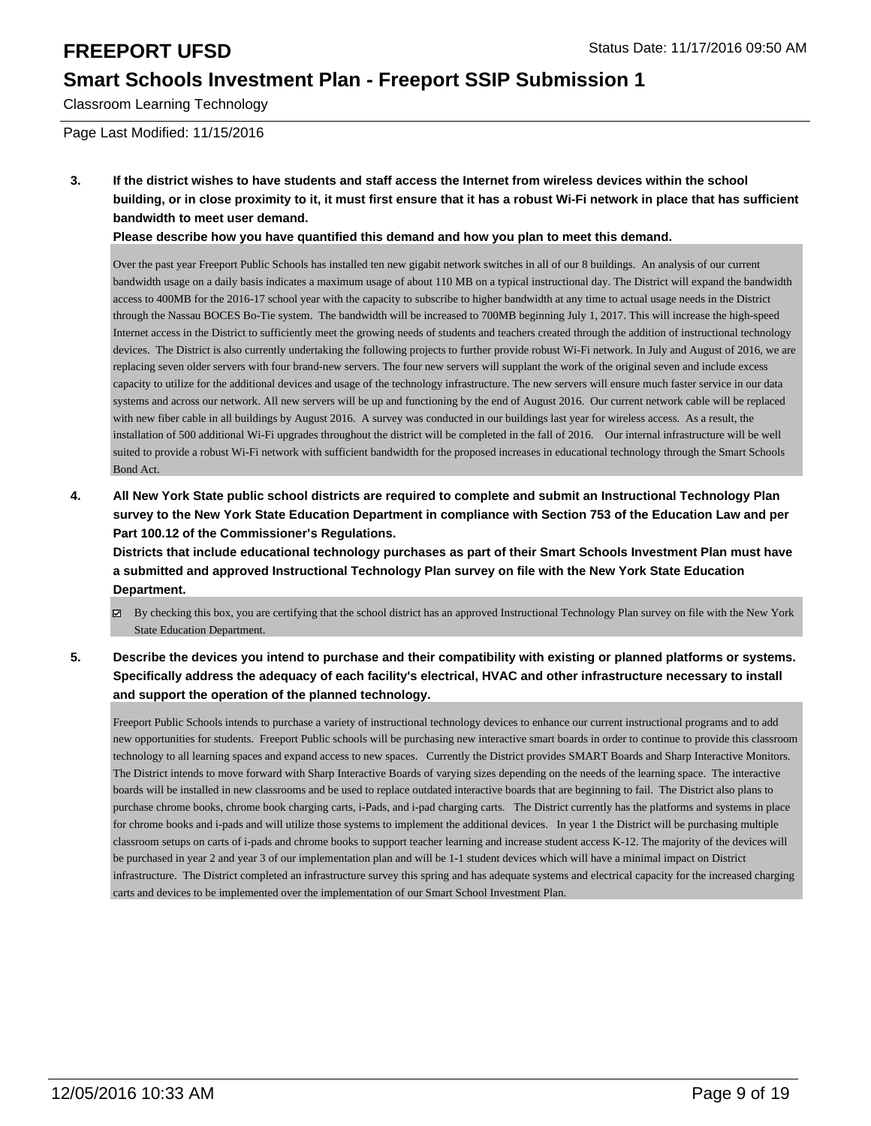Classroom Learning Technology

Page Last Modified: 11/15/2016

**3. If the district wishes to have students and staff access the Internet from wireless devices within the school building, or in close proximity to it, it must first ensure that it has a robust Wi-Fi network in place that has sufficient bandwidth to meet user demand.**

**Please describe how you have quantified this demand and how you plan to meet this demand.**

Over the past year Freeport Public Schools has installed ten new gigabit network switches in all of our 8 buildings. An analysis of our current bandwidth usage on a daily basis indicates a maximum usage of about 110 MB on a typical instructional day. The District will expand the bandwidth access to 400MB for the 2016-17 school year with the capacity to subscribe to higher bandwidth at any time to actual usage needs in the District through the Nassau BOCES Bo-Tie system. The bandwidth will be increased to 700MB beginning July 1, 2017. This will increase the high-speed Internet access in the District to sufficiently meet the growing needs of students and teachers created through the addition of instructional technology devices. The District is also currently undertaking the following projects to further provide robust Wi-Fi network. In July and August of 2016, we are replacing seven older servers with four brand-new servers. The four new servers will supplant the work of the original seven and include excess capacity to utilize for the additional devices and usage of the technology infrastructure. The new servers will ensure much faster service in our data systems and across our network. All new servers will be up and functioning by the end of August 2016. Our current network cable will be replaced with new fiber cable in all buildings by August 2016. A survey was conducted in our buildings last year for wireless access. As a result, the installation of 500 additional Wi-Fi upgrades throughout the district will be completed in the fall of 2016. Our internal infrastructure will be well suited to provide a robust Wi-Fi network with sufficient bandwidth for the proposed increases in educational technology through the Smart Schools Bond Act.

**4. All New York State public school districts are required to complete and submit an Instructional Technology Plan survey to the New York State Education Department in compliance with Section 753 of the Education Law and per Part 100.12 of the Commissioner's Regulations.**

**Districts that include educational technology purchases as part of their Smart Schools Investment Plan must have a submitted and approved Instructional Technology Plan survey on file with the New York State Education Department.**

- By checking this box, you are certifying that the school district has an approved Instructional Technology Plan survey on file with the New York State Education Department.
- **5. Describe the devices you intend to purchase and their compatibility with existing or planned platforms or systems. Specifically address the adequacy of each facility's electrical, HVAC and other infrastructure necessary to install and support the operation of the planned technology.**

Freeport Public Schools intends to purchase a variety of instructional technology devices to enhance our current instructional programs and to add new opportunities for students. Freeport Public schools will be purchasing new interactive smart boards in order to continue to provide this classroom technology to all learning spaces and expand access to new spaces. Currently the District provides SMART Boards and Sharp Interactive Monitors. The District intends to move forward with Sharp Interactive Boards of varying sizes depending on the needs of the learning space. The interactive boards will be installed in new classrooms and be used to replace outdated interactive boards that are beginning to fail. The District also plans to purchase chrome books, chrome book charging carts, i-Pads, and i-pad charging carts. The District currently has the platforms and systems in place for chrome books and i-pads and will utilize those systems to implement the additional devices. In year 1 the District will be purchasing multiple classroom setups on carts of i-pads and chrome books to support teacher learning and increase student access K-12. The majority of the devices will be purchased in year 2 and year 3 of our implementation plan and will be 1-1 student devices which will have a minimal impact on District infrastructure. The District completed an infrastructure survey this spring and has adequate systems and electrical capacity for the increased charging carts and devices to be implemented over the implementation of our Smart School Investment Plan.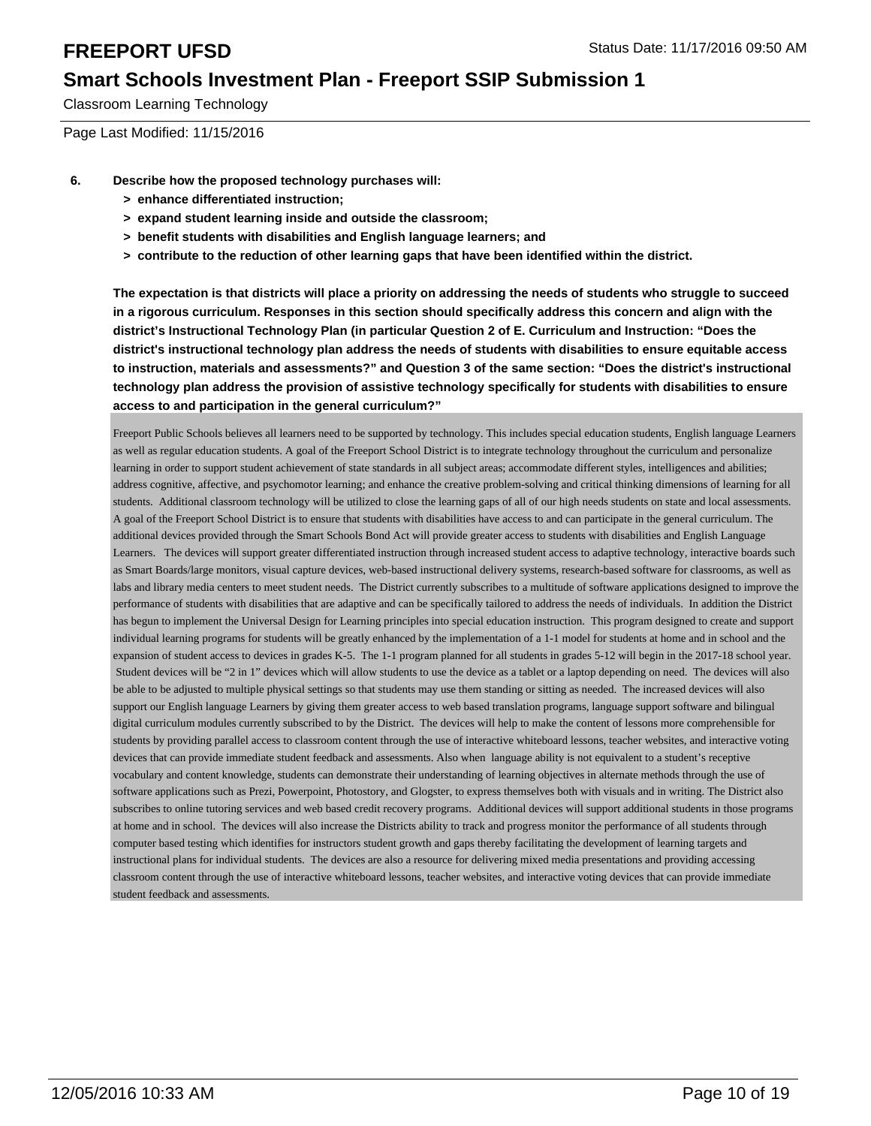Classroom Learning Technology

Page Last Modified: 11/15/2016

- **6. Describe how the proposed technology purchases will:**
	- **> enhance differentiated instruction;**
	- **> expand student learning inside and outside the classroom;**
	- **> benefit students with disabilities and English language learners; and**
	- **> contribute to the reduction of other learning gaps that have been identified within the district.**

**The expectation is that districts will place a priority on addressing the needs of students who struggle to succeed in a rigorous curriculum. Responses in this section should specifically address this concern and align with the district's Instructional Technology Plan (in particular Question 2 of E. Curriculum and Instruction: "Does the district's instructional technology plan address the needs of students with disabilities to ensure equitable access to instruction, materials and assessments?" and Question 3 of the same section: "Does the district's instructional technology plan address the provision of assistive technology specifically for students with disabilities to ensure access to and participation in the general curriculum?"**

Freeport Public Schools believes all learners need to be supported by technology. This includes special education students, English language Learners as well as regular education students. A goal of the Freeport School District is to integrate technology throughout the curriculum and personalize learning in order to support student achievement of state standards in all subject areas; accommodate different styles, intelligences and abilities; address cognitive, affective, and psychomotor learning; and enhance the creative problem-solving and critical thinking dimensions of learning for all students. Additional classroom technology will be utilized to close the learning gaps of all of our high needs students on state and local assessments. A goal of the Freeport School District is to ensure that students with disabilities have access to and can participate in the general curriculum. The additional devices provided through the Smart Schools Bond Act will provide greater access to students with disabilities and English Language Learners. The devices will support greater differentiated instruction through increased student access to adaptive technology, interactive boards such as Smart Boards/large monitors, visual capture devices, web-based instructional delivery systems, research-based software for classrooms, as well as labs and library media centers to meet student needs. The District currently subscribes to a multitude of software applications designed to improve the performance of students with disabilities that are adaptive and can be specifically tailored to address the needs of individuals. In addition the District has begun to implement the Universal Design for Learning principles into special education instruction. This program designed to create and support individual learning programs for students will be greatly enhanced by the implementation of a 1-1 model for students at home and in school and the expansion of student access to devices in grades K-5. The 1-1 program planned for all students in grades 5-12 will begin in the 2017-18 school year. Student devices will be "2 in 1" devices which will allow students to use the device as a tablet or a laptop depending on need. The devices will also be able to be adjusted to multiple physical settings so that students may use them standing or sitting as needed. The increased devices will also support our English language Learners by giving them greater access to web based translation programs, language support software and bilingual digital curriculum modules currently subscribed to by the District. The devices will help to make the content of lessons more comprehensible for students by providing parallel access to classroom content through the use of interactive whiteboard lessons, teacher websites, and interactive voting devices that can provide immediate student feedback and assessments. Also when language ability is not equivalent to a student's receptive vocabulary and content knowledge, students can demonstrate their understanding of learning objectives in alternate methods through the use of software applications such as Prezi, Powerpoint, Photostory, and Glogster, to express themselves both with visuals and in writing. The District also subscribes to online tutoring services and web based credit recovery programs. Additional devices will support additional students in those programs at home and in school. The devices will also increase the Districts ability to track and progress monitor the performance of all students through computer based testing which identifies for instructors student growth and gaps thereby facilitating the development of learning targets and instructional plans for individual students. The devices are also a resource for delivering mixed media presentations and providing accessing classroom content through the use of interactive whiteboard lessons, teacher websites, and interactive voting devices that can provide immediate student feedback and assessments.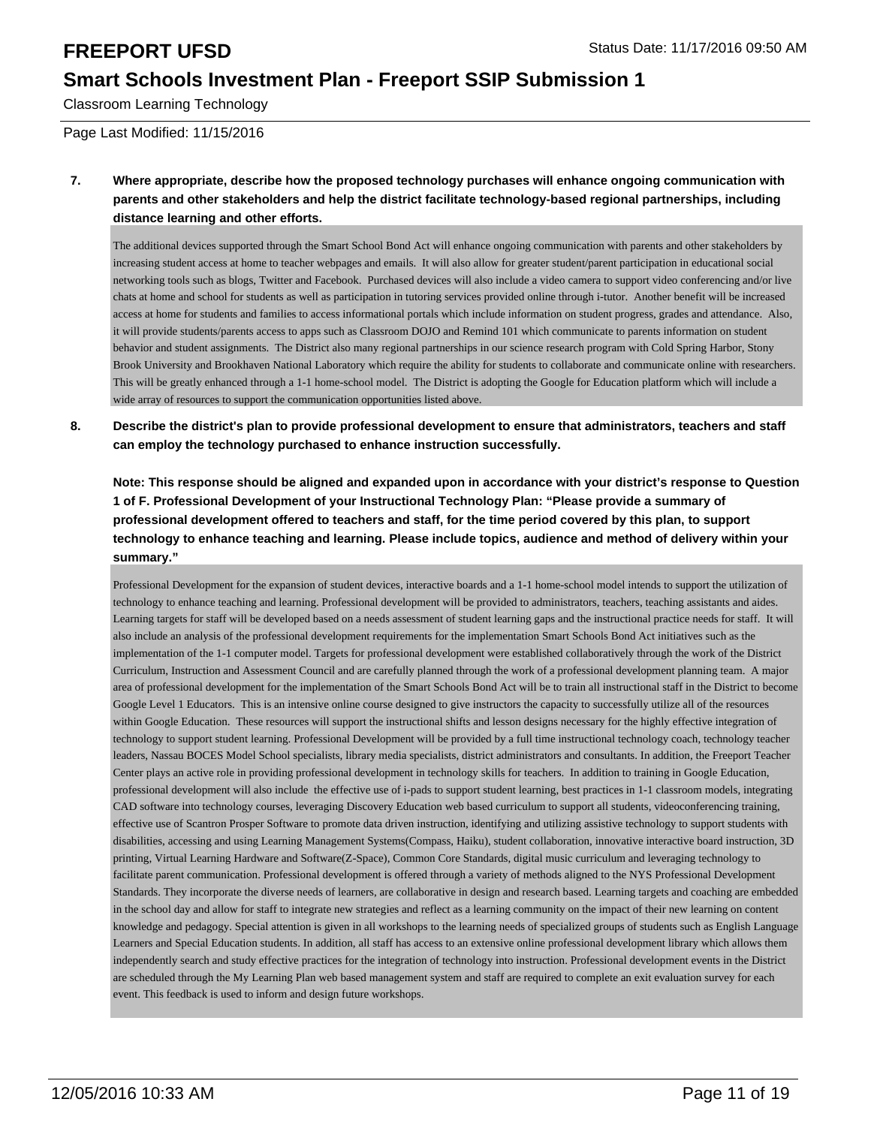Classroom Learning Technology

Page Last Modified: 11/15/2016

**7. Where appropriate, describe how the proposed technology purchases will enhance ongoing communication with parents and other stakeholders and help the district facilitate technology-based regional partnerships, including distance learning and other efforts.**

The additional devices supported through the Smart School Bond Act will enhance ongoing communication with parents and other stakeholders by increasing student access at home to teacher webpages and emails. It will also allow for greater student/parent participation in educational social networking tools such as blogs, Twitter and Facebook. Purchased devices will also include a video camera to support video conferencing and/or live chats at home and school for students as well as participation in tutoring services provided online through i-tutor. Another benefit will be increased access at home for students and families to access informational portals which include information on student progress, grades and attendance. Also, it will provide students/parents access to apps such as Classroom DOJO and Remind 101 which communicate to parents information on student behavior and student assignments. The District also many regional partnerships in our science research program with Cold Spring Harbor, Stony Brook University and Brookhaven National Laboratory which require the ability for students to collaborate and communicate online with researchers. This will be greatly enhanced through a 1-1 home-school model. The District is adopting the Google for Education platform which will include a wide array of resources to support the communication opportunities listed above.

**8. Describe the district's plan to provide professional development to ensure that administrators, teachers and staff can employ the technology purchased to enhance instruction successfully.**

**Note: This response should be aligned and expanded upon in accordance with your district's response to Question 1 of F. Professional Development of your Instructional Technology Plan: "Please provide a summary of professional development offered to teachers and staff, for the time period covered by this plan, to support technology to enhance teaching and learning. Please include topics, audience and method of delivery within your summary."**

Professional Development for the expansion of student devices, interactive boards and a 1-1 home-school model intends to support the utilization of technology to enhance teaching and learning. Professional development will be provided to administrators, teachers, teaching assistants and aides. Learning targets for staff will be developed based on a needs assessment of student learning gaps and the instructional practice needs for staff. It will also include an analysis of the professional development requirements for the implementation Smart Schools Bond Act initiatives such as the implementation of the 1-1 computer model. Targets for professional development were established collaboratively through the work of the District Curriculum, Instruction and Assessment Council and are carefully planned through the work of a professional development planning team. A major area of professional development for the implementation of the Smart Schools Bond Act will be to train all instructional staff in the District to become Google Level 1 Educators. This is an intensive online course designed to give instructors the capacity to successfully utilize all of the resources within Google Education. These resources will support the instructional shifts and lesson designs necessary for the highly effective integration of technology to support student learning. Professional Development will be provided by a full time instructional technology coach, technology teacher leaders, Nassau BOCES Model School specialists, library media specialists, district administrators and consultants. In addition, the Freeport Teacher Center plays an active role in providing professional development in technology skills for teachers. In addition to training in Google Education, professional development will also include the effective use of i-pads to support student learning, best practices in 1-1 classroom models, integrating CAD software into technology courses, leveraging Discovery Education web based curriculum to support all students, videoconferencing training, effective use of Scantron Prosper Software to promote data driven instruction, identifying and utilizing assistive technology to support students with disabilities, accessing and using Learning Management Systems(Compass, Haiku), student collaboration, innovative interactive board instruction, 3D printing, Virtual Learning Hardware and Software(Z-Space), Common Core Standards, digital music curriculum and leveraging technology to facilitate parent communication. Professional development is offered through a variety of methods aligned to the NYS Professional Development Standards. They incorporate the diverse needs of learners, are collaborative in design and research based. Learning targets and coaching are embedded in the school day and allow for staff to integrate new strategies and reflect as a learning community on the impact of their new learning on content knowledge and pedagogy. Special attention is given in all workshops to the learning needs of specialized groups of students such as English Language Learners and Special Education students. In addition, all staff has access to an extensive online professional development library which allows them independently search and study effective practices for the integration of technology into instruction. Professional development events in the District are scheduled through the My Learning Plan web based management system and staff are required to complete an exit evaluation survey for each event. This feedback is used to inform and design future workshops.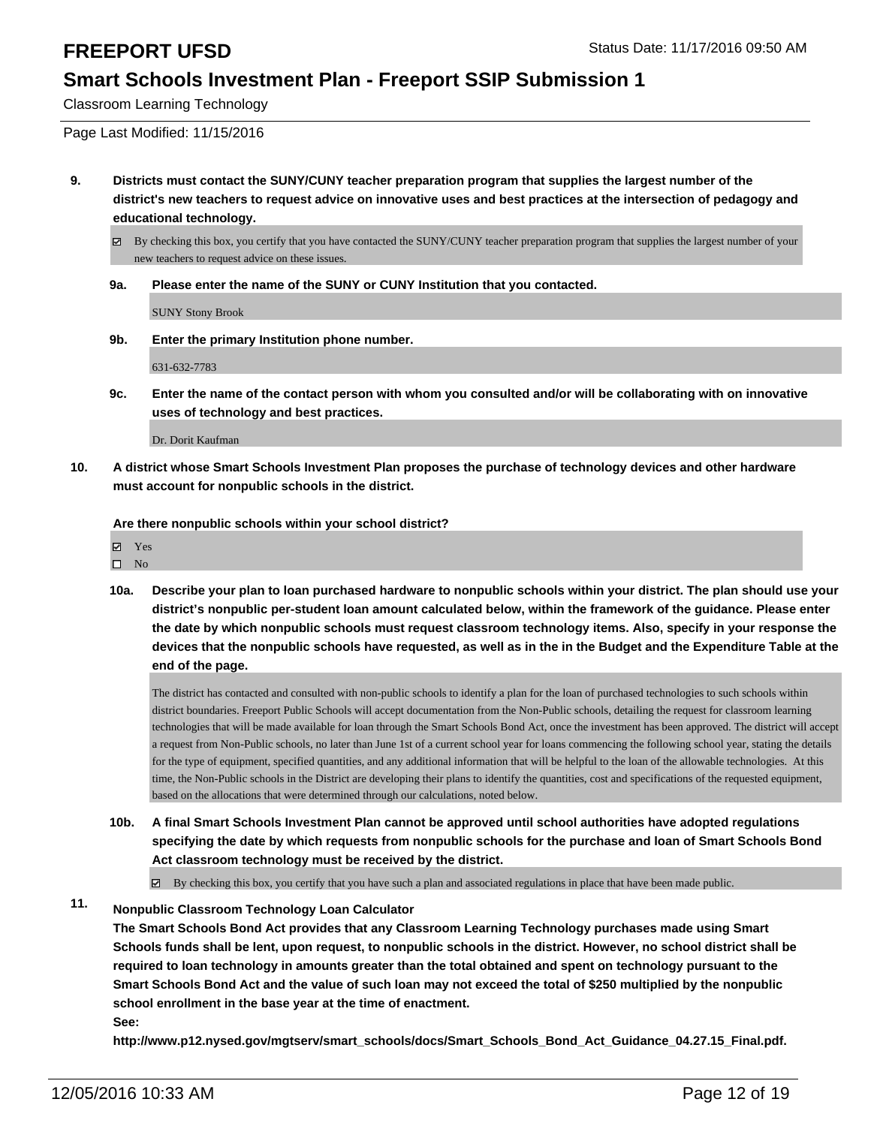Classroom Learning Technology

Page Last Modified: 11/15/2016

**9. Districts must contact the SUNY/CUNY teacher preparation program that supplies the largest number of the district's new teachers to request advice on innovative uses and best practices at the intersection of pedagogy and educational technology.**

By checking this box, you certify that you have contacted the SUNY/CUNY teacher preparation program that supplies the largest number of your new teachers to request advice on these issues.

**9a. Please enter the name of the SUNY or CUNY Institution that you contacted.**

SUNY Stony Brook

**9b. Enter the primary Institution phone number.**

631-632-7783

**9c. Enter the name of the contact person with whom you consulted and/or will be collaborating with on innovative uses of technology and best practices.**

Dr. Dorit Kaufman

**10. A district whose Smart Schools Investment Plan proposes the purchase of technology devices and other hardware must account for nonpublic schools in the district.**

**Are there nonpublic schools within your school district?**

Yes  $\square$  No

**10a. Describe your plan to loan purchased hardware to nonpublic schools within your district. The plan should use your district's nonpublic per-student loan amount calculated below, within the framework of the guidance. Please enter the date by which nonpublic schools must request classroom technology items. Also, specify in your response the devices that the nonpublic schools have requested, as well as in the in the Budget and the Expenditure Table at the end of the page.**

The district has contacted and consulted with non-public schools to identify a plan for the loan of purchased technologies to such schools within district boundaries. Freeport Public Schools will accept documentation from the Non-Public schools, detailing the request for classroom learning technologies that will be made available for loan through the Smart Schools Bond Act, once the investment has been approved. The district will accept a request from Non-Public schools, no later than June 1st of a current school year for loans commencing the following school year, stating the details for the type of equipment, specified quantities, and any additional information that will be helpful to the loan of the allowable technologies. At this time, the Non-Public schools in the District are developing their plans to identify the quantities, cost and specifications of the requested equipment, based on the allocations that were determined through our calculations, noted below.

**10b. A final Smart Schools Investment Plan cannot be approved until school authorities have adopted regulations specifying the date by which requests from nonpublic schools for the purchase and loan of Smart Schools Bond Act classroom technology must be received by the district.**

 $\blacksquare$ By checking this box, you certify that you have such a plan and associated regulations in place that have been made public.

### **11. Nonpublic Classroom Technology Loan Calculator**

**The Smart Schools Bond Act provides that any Classroom Learning Technology purchases made using Smart Schools funds shall be lent, upon request, to nonpublic schools in the district. However, no school district shall be required to loan technology in amounts greater than the total obtained and spent on technology pursuant to the Smart Schools Bond Act and the value of such loan may not exceed the total of \$250 multiplied by the nonpublic school enrollment in the base year at the time of enactment.**

**See:**

**http://www.p12.nysed.gov/mgtserv/smart\_schools/docs/Smart\_Schools\_Bond\_Act\_Guidance\_04.27.15\_Final.pdf.**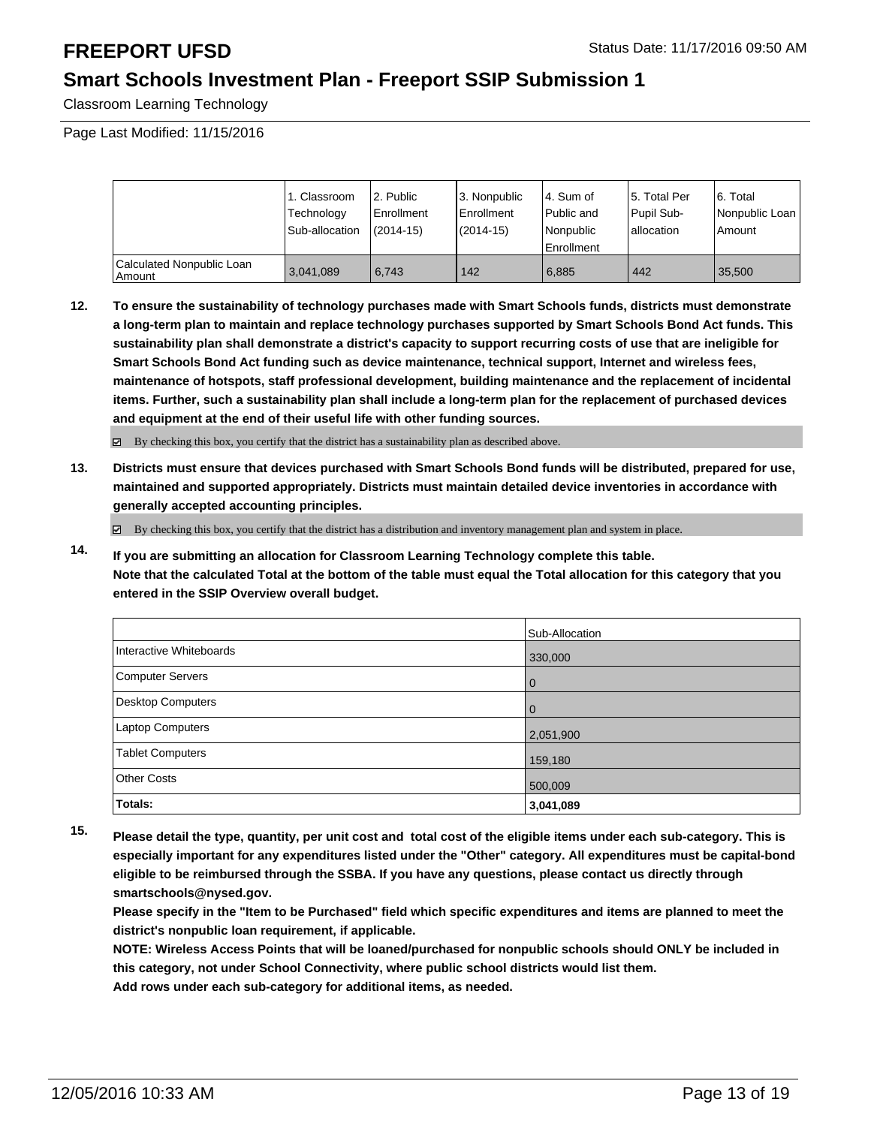Classroom Learning Technology

Page Last Modified: 11/15/2016

|                                     | 1. Classroom<br>Technology<br>Sub-allocation | 2. Public<br>Enrollment<br>$(2014 - 15)$ | 3. Nonpublic<br><b>Enrollment</b><br>(2014-15) | l 4. Sum of<br>l Public and<br>l Nonpublic<br>Enrollment | l 5. Total Per<br>Pupil Sub-<br>lallocation | 6. Total<br>Nonpublic Loan<br>Amount |
|-------------------------------------|----------------------------------------------|------------------------------------------|------------------------------------------------|----------------------------------------------------------|---------------------------------------------|--------------------------------------|
| Calculated Nonpublic Loan<br>Amount | 3,041,089                                    | 6.743                                    | 142                                            | 6.885                                                    | 442                                         | 35.500                               |

**12. To ensure the sustainability of technology purchases made with Smart Schools funds, districts must demonstrate a long-term plan to maintain and replace technology purchases supported by Smart Schools Bond Act funds. This sustainability plan shall demonstrate a district's capacity to support recurring costs of use that are ineligible for Smart Schools Bond Act funding such as device maintenance, technical support, Internet and wireless fees, maintenance of hotspots, staff professional development, building maintenance and the replacement of incidental items. Further, such a sustainability plan shall include a long-term plan for the replacement of purchased devices and equipment at the end of their useful life with other funding sources.**

By checking this box, you certify that the district has a sustainability plan as described above.

**13. Districts must ensure that devices purchased with Smart Schools Bond funds will be distributed, prepared for use, maintained and supported appropriately. Districts must maintain detailed device inventories in accordance with generally accepted accounting principles.**

 $\boxtimes$  By checking this box, you certify that the district has a distribution and inventory management plan and system in place.

**14. If you are submitting an allocation for Classroom Learning Technology complete this table. Note that the calculated Total at the bottom of the table must equal the Total allocation for this category that you entered in the SSIP Overview overall budget.**

|                         | Sub-Allocation |
|-------------------------|----------------|
| Interactive Whiteboards | 330,000        |
| Computer Servers        | l 0            |
| Desktop Computers       | l 0            |
| Laptop Computers        | 2,051,900      |
| <b>Tablet Computers</b> | 159,180        |
| Other Costs             | 500,009        |
| Totals:                 | 3,041,089      |

**15. Please detail the type, quantity, per unit cost and total cost of the eligible items under each sub-category. This is especially important for any expenditures listed under the "Other" category. All expenditures must be capital-bond eligible to be reimbursed through the SSBA. If you have any questions, please contact us directly through smartschools@nysed.gov.**

**Please specify in the "Item to be Purchased" field which specific expenditures and items are planned to meet the district's nonpublic loan requirement, if applicable.**

**NOTE: Wireless Access Points that will be loaned/purchased for nonpublic schools should ONLY be included in this category, not under School Connectivity, where public school districts would list them.**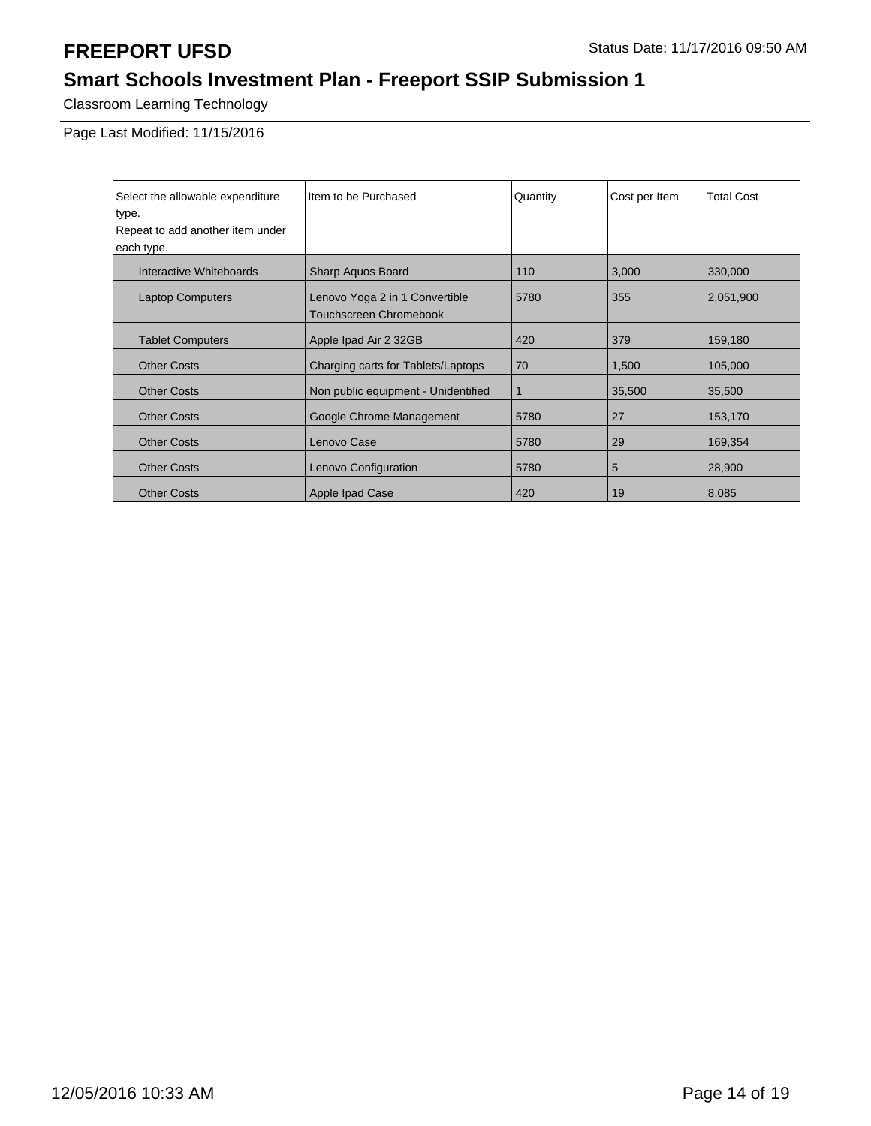# **Smart Schools Investment Plan - Freeport SSIP Submission 1**

Classroom Learning Technology

Page Last Modified: 11/15/2016

| Select the allowable expenditure | Item to be Purchased                | Quantity | Cost per Item | <b>Total Cost</b> |
|----------------------------------|-------------------------------------|----------|---------------|-------------------|
| type.                            |                                     |          |               |                   |
| Repeat to add another item under |                                     |          |               |                   |
| each type.                       |                                     |          |               |                   |
| Interactive Whiteboards          | Sharp Aquos Board                   | 110      | 3,000         | 330,000           |
| <b>Laptop Computers</b>          | Lenovo Yoga 2 in 1 Convertible      | 5780     | 355           | 2,051,900         |
|                                  | <b>Touchscreen Chromebook</b>       |          |               |                   |
| <b>Tablet Computers</b>          | Apple Ipad Air 2 32GB               | 420      | 379           | 159,180           |
| <b>Other Costs</b>               | Charging carts for Tablets/Laptops  | 70       | 1,500         | 105,000           |
| <b>Other Costs</b>               | Non public equipment - Unidentified | 1        | 35,500        | 35,500            |
| <b>Other Costs</b>               | Google Chrome Management            | 5780     | 27            | 153,170           |
| <b>Other Costs</b>               | Lenovo Case                         | 5780     | 29            | 169,354           |
| <b>Other Costs</b>               | Lenovo Configuration                | 5780     | 5             | 28,900            |
| <b>Other Costs</b>               | Apple Ipad Case                     | 420      | 19            | 8,085             |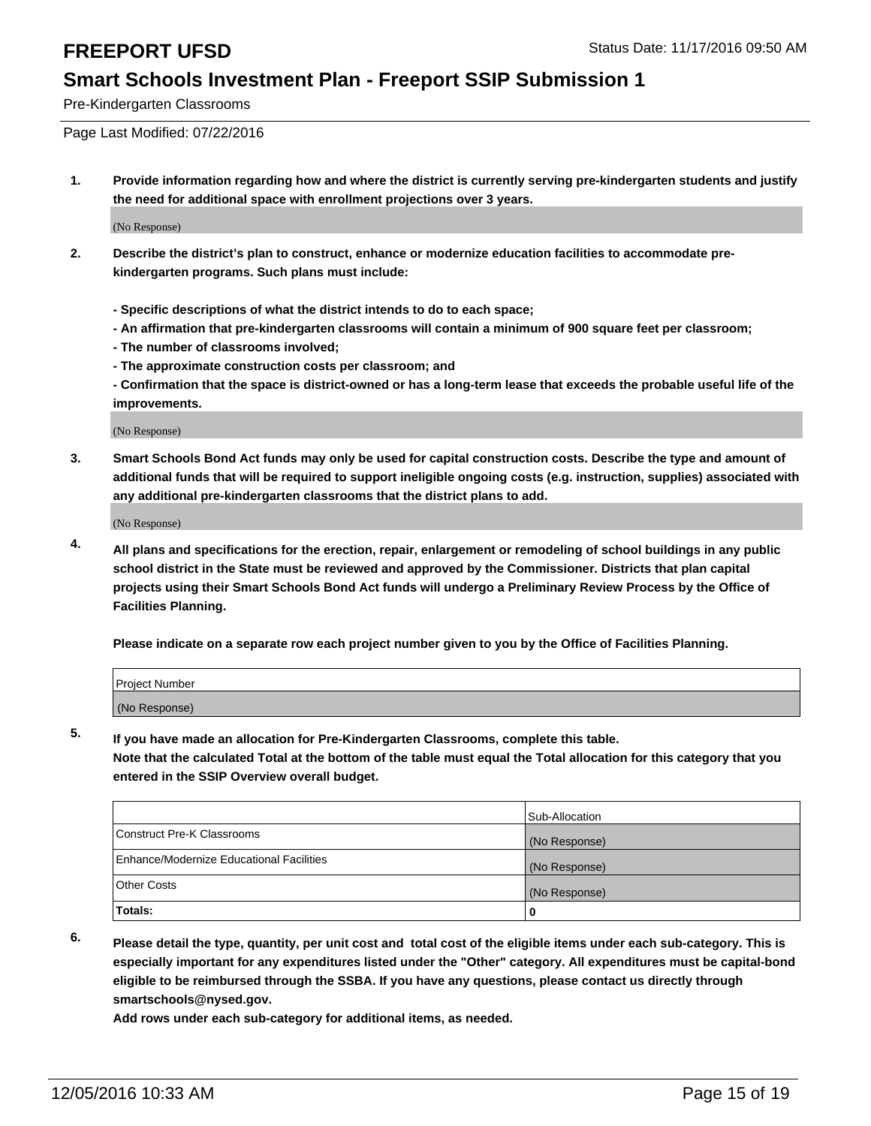Pre-Kindergarten Classrooms

Page Last Modified: 07/22/2016

**1. Provide information regarding how and where the district is currently serving pre-kindergarten students and justify the need for additional space with enrollment projections over 3 years.**

(No Response)

- **2. Describe the district's plan to construct, enhance or modernize education facilities to accommodate prekindergarten programs. Such plans must include:**
	- **Specific descriptions of what the district intends to do to each space;**
	- **An affirmation that pre-kindergarten classrooms will contain a minimum of 900 square feet per classroom;**
	- **The number of classrooms involved;**
	- **The approximate construction costs per classroom; and**
	- **Confirmation that the space is district-owned or has a long-term lease that exceeds the probable useful life of the improvements.**

(No Response)

**3. Smart Schools Bond Act funds may only be used for capital construction costs. Describe the type and amount of additional funds that will be required to support ineligible ongoing costs (e.g. instruction, supplies) associated with any additional pre-kindergarten classrooms that the district plans to add.**

(No Response)

**4. All plans and specifications for the erection, repair, enlargement or remodeling of school buildings in any public school district in the State must be reviewed and approved by the Commissioner. Districts that plan capital projects using their Smart Schools Bond Act funds will undergo a Preliminary Review Process by the Office of Facilities Planning.**

**Please indicate on a separate row each project number given to you by the Office of Facilities Planning.**

| Project Number |  |  |
|----------------|--|--|
| (No Response)  |  |  |

**5. If you have made an allocation for Pre-Kindergarten Classrooms, complete this table.**

**Note that the calculated Total at the bottom of the table must equal the Total allocation for this category that you entered in the SSIP Overview overall budget.**

|                                          | Sub-Allocation |
|------------------------------------------|----------------|
| Construct Pre-K Classrooms               | (No Response)  |
| Enhance/Modernize Educational Facilities | (No Response)  |
| Other Costs                              | (No Response)  |
| Totals:                                  |                |

**6. Please detail the type, quantity, per unit cost and total cost of the eligible items under each sub-category. This is especially important for any expenditures listed under the "Other" category. All expenditures must be capital-bond eligible to be reimbursed through the SSBA. If you have any questions, please contact us directly through smartschools@nysed.gov.**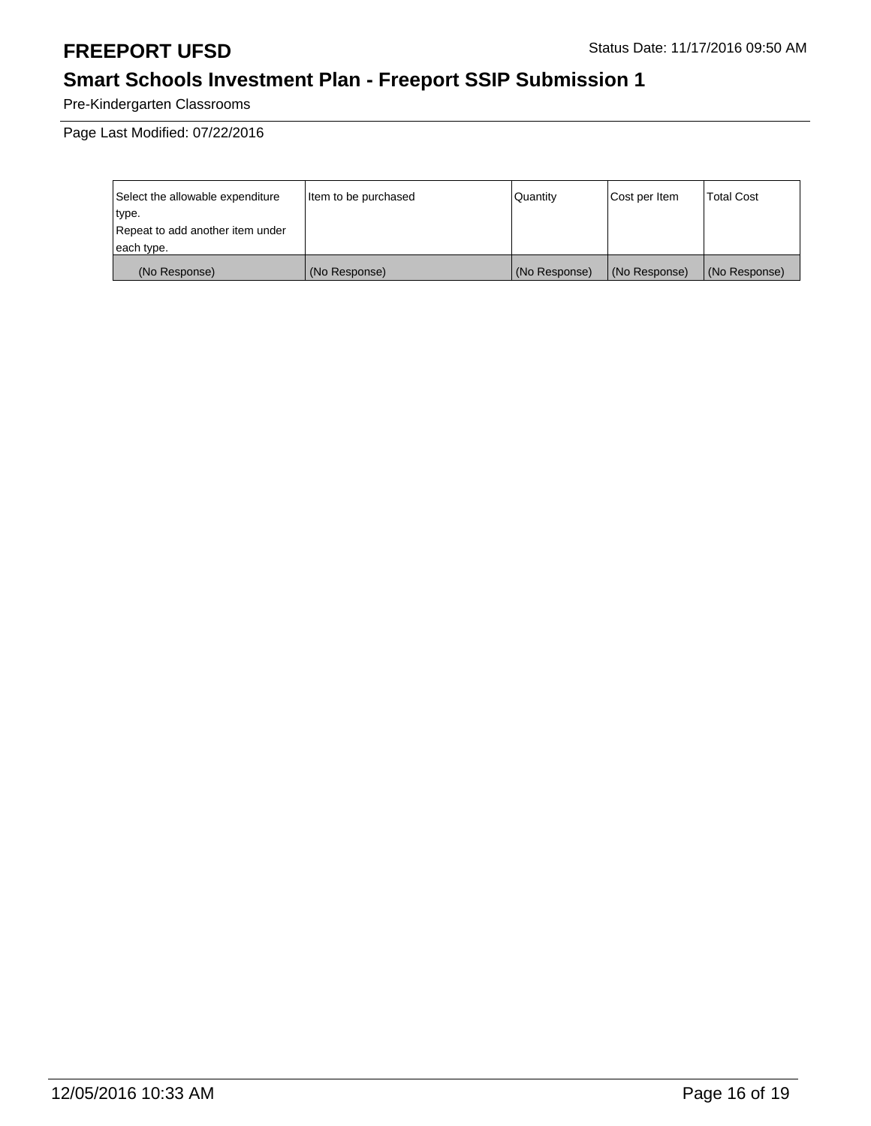# **Smart Schools Investment Plan - Freeport SSIP Submission 1**

Pre-Kindergarten Classrooms

Page Last Modified: 07/22/2016

| Select the allowable expenditure | Item to be purchased | Quantity      | Cost per Item | Total Cost    |
|----------------------------------|----------------------|---------------|---------------|---------------|
| type.                            |                      |               |               |               |
| Repeat to add another item under |                      |               |               |               |
| each type.                       |                      |               |               |               |
| (No Response)                    | (No Response)        | (No Response) | (No Response) | (No Response) |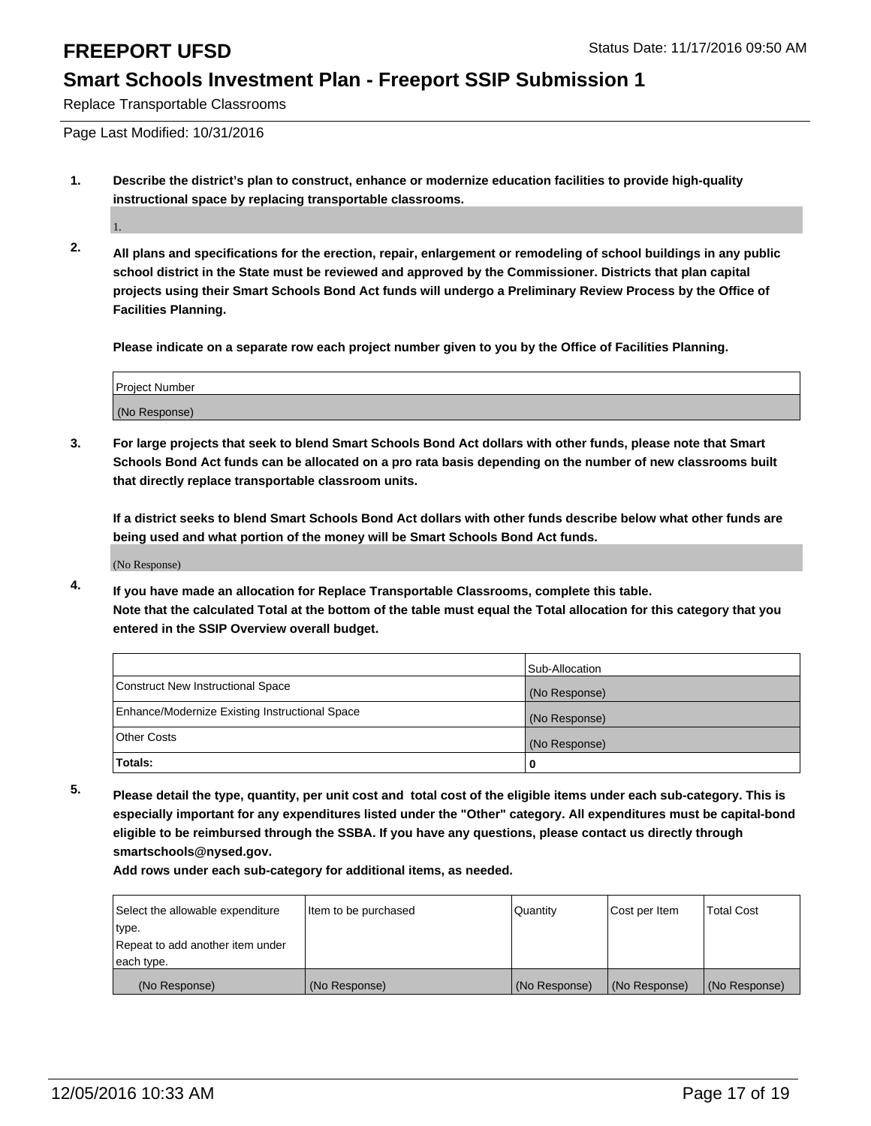Replace Transportable Classrooms

Page Last Modified: 10/31/2016

**1. Describe the district's plan to construct, enhance or modernize education facilities to provide high-quality instructional space by replacing transportable classrooms.**

1.

**2. All plans and specifications for the erection, repair, enlargement or remodeling of school buildings in any public school district in the State must be reviewed and approved by the Commissioner. Districts that plan capital projects using their Smart Schools Bond Act funds will undergo a Preliminary Review Process by the Office of Facilities Planning.**

**Please indicate on a separate row each project number given to you by the Office of Facilities Planning.**

| <b>Project Number</b> |  |
|-----------------------|--|
| (No Response)         |  |

**3. For large projects that seek to blend Smart Schools Bond Act dollars with other funds, please note that Smart Schools Bond Act funds can be allocated on a pro rata basis depending on the number of new classrooms built that directly replace transportable classroom units.**

**If a district seeks to blend Smart Schools Bond Act dollars with other funds describe below what other funds are being used and what portion of the money will be Smart Schools Bond Act funds.**

(No Response)

**4. If you have made an allocation for Replace Transportable Classrooms, complete this table. Note that the calculated Total at the bottom of the table must equal the Total allocation for this category that you entered in the SSIP Overview overall budget.**

|                                                | Sub-Allocation |
|------------------------------------------------|----------------|
| Construct New Instructional Space              | (No Response)  |
| Enhance/Modernize Existing Instructional Space | (No Response)  |
| Other Costs                                    | (No Response)  |
| 'Totals:                                       |                |

**5. Please detail the type, quantity, per unit cost and total cost of the eligible items under each sub-category. This is especially important for any expenditures listed under the "Other" category. All expenditures must be capital-bond eligible to be reimbursed through the SSBA. If you have any questions, please contact us directly through smartschools@nysed.gov.**

| Select the allowable expenditure | Item to be purchased | Quantity      | Cost per Item | <b>Total Cost</b> |
|----------------------------------|----------------------|---------------|---------------|-------------------|
| type.                            |                      |               |               |                   |
| Repeat to add another item under |                      |               |               |                   |
| each type.                       |                      |               |               |                   |
| (No Response)                    | (No Response)        | (No Response) | (No Response) | (No Response)     |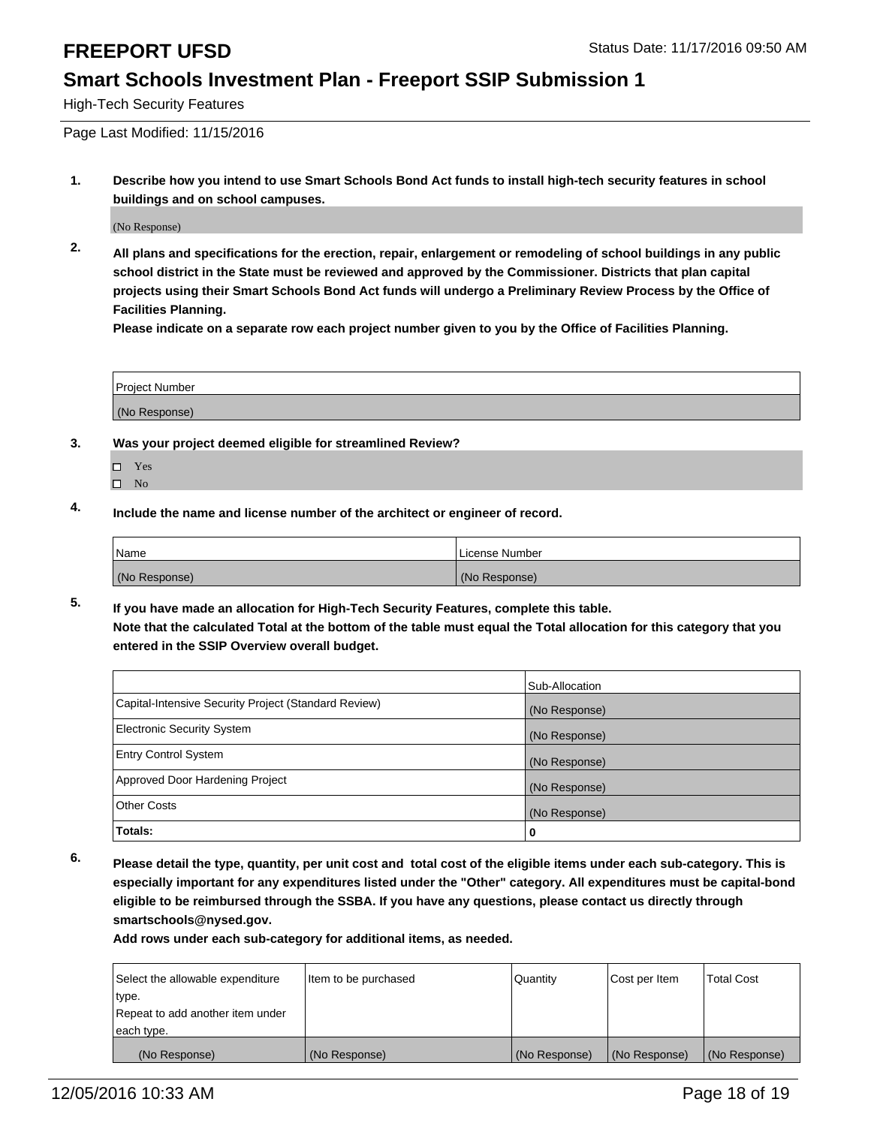High-Tech Security Features

Page Last Modified: 11/15/2016

**1. Describe how you intend to use Smart Schools Bond Act funds to install high-tech security features in school buildings and on school campuses.**

(No Response)

**2. All plans and specifications for the erection, repair, enlargement or remodeling of school buildings in any public school district in the State must be reviewed and approved by the Commissioner. Districts that plan capital projects using their Smart Schools Bond Act funds will undergo a Preliminary Review Process by the Office of Facilities Planning.** 

**Please indicate on a separate row each project number given to you by the Office of Facilities Planning.**

| Project Number |  |
|----------------|--|
| (No Response)  |  |

- **3. Was your project deemed eligible for streamlined Review?**
	- Yes
	- $\square$  No
- **4. Include the name and license number of the architect or engineer of record.**

| 'Name         | License Number |
|---------------|----------------|
| (No Response) | (No Response)  |

**5. If you have made an allocation for High-Tech Security Features, complete this table. Note that the calculated Total at the bottom of the table must equal the Total allocation for this category that you entered in the SSIP Overview overall budget.**

|                                                      | Sub-Allocation |
|------------------------------------------------------|----------------|
| Capital-Intensive Security Project (Standard Review) | (No Response)  |
| <b>Electronic Security System</b>                    | (No Response)  |
| <b>Entry Control System</b>                          | (No Response)  |
| Approved Door Hardening Project                      | (No Response)  |
| <b>Other Costs</b>                                   | (No Response)  |
| Totals:                                              | 0              |

**6. Please detail the type, quantity, per unit cost and total cost of the eligible items under each sub-category. This is especially important for any expenditures listed under the "Other" category. All expenditures must be capital-bond eligible to be reimbursed through the SSBA. If you have any questions, please contact us directly through smartschools@nysed.gov.**

| Select the allowable expenditure | Item to be purchased | Quantity      | Cost per Item | <b>Total Cost</b> |
|----------------------------------|----------------------|---------------|---------------|-------------------|
| type.                            |                      |               |               |                   |
| Repeat to add another item under |                      |               |               |                   |
| each type.                       |                      |               |               |                   |
| (No Response)                    | (No Response)        | (No Response) | (No Response) | (No Response)     |